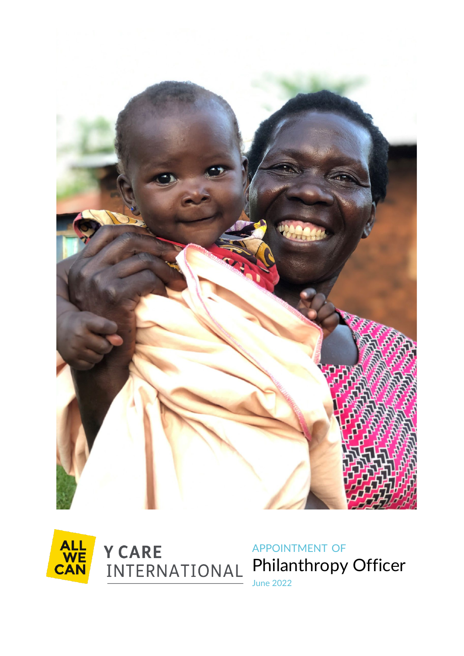





APPOINTMENT OF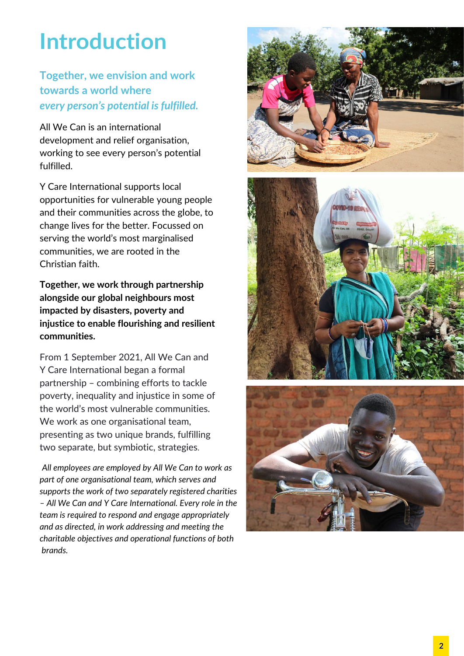## **Introduction**

#### **Together, we envision and work towards a world where** *every person's potential is fulfilled.*

All We Can is an international development and relief organisation, working to see every person's potential fulfilled.

Y Care International supports local opportunities for vulnerable young people and their communities across the globe, to change lives for the better. Focussed on serving the world's most marginalised communities, we are rooted in the Christian faith.

**Together, we work through partnership alongside our global neighbours most impacted by disasters, poverty and injustice to enable flourishing and resilient communities.**

From 1 September 2021, All We Can and Y Care International began a formal partnership – combining efforts to tackle poverty, inequality and injustice in some of the world's most vulnerable communities. We work as one organisational team, presenting as two unique brands, fulfilling two separate, but symbiotic, strategies.

*All employees are employed by All We Can to work as part of one organisational team, which serves and supports the work of two separately registered charities – All We Can and Y Care International. Every role in the team is required to respond and engage appropriately and as directed, in work addressing and meeting the charitable objectives and operational functions of both brands.* 





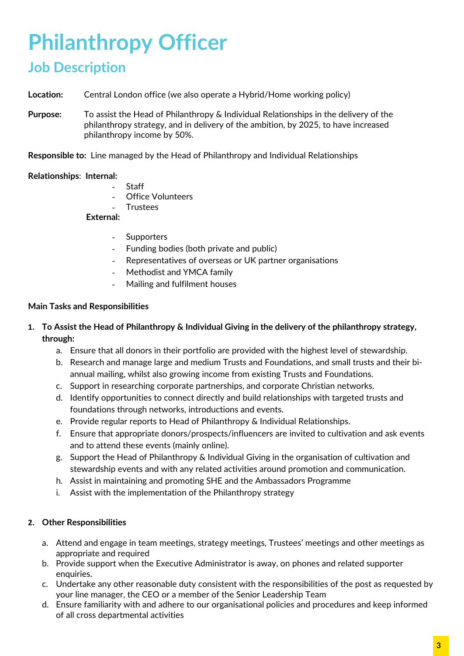## **Philanthropy Officer**

### **Job Description**

**Location:** Central London office (we also operate a Hybrid/Home working policy)

**Purpose:** To assist the Head of Philanthropy & Individual Relationships in the delivery of the philanthropy strategy, and in delivery of the ambition, by 2025, to have increased philanthropy income by 50%.

**Responsible to:** Line managed by the Head of Philanthropy and Individual Relationships

#### **Relationships**: **Internal:**

- **Staff**
- **Office Volunteers**
- **Trustees**

#### **External:**

- Supporters
- Funding bodies (both private and public)
- Representatives of overseas or UK partner organisations
- Methodist and YMCA family
- Mailing and fulfilment houses

#### **Main Tasks and Responsibilities**

- **1. To Assist the Head of Philanthropy & Individual Giving in the delivery of the philanthropy strategy, through:**
	- a. Ensure that all donors in their portfolio are provided with the highest level of stewardship.
	- b. Research and manage large and medium Trusts and Foundations, and small trusts and their biannual mailing, whilst also growing income from existing Trusts and Foundations.
	- c. Support in researching corporate partnerships, and corporate Christian networks.
	- d. Identify opportunities to connect directly and build relationships with targeted trusts and foundations through networks, introductions and events.
	- e. Provide regular reports to Head of Philanthropy & Individual Relationships.
	- f. Ensure that appropriate donors/prospects/influencers are invited to cultivation and ask events and to attend these events (mainly online).
	- g. Support the Head of Philanthropy & Individual Giving in the organisation of cultivation and stewardship events and with any related activities around promotion and communication.
	- h. Assist in maintaining and promoting SHE and the Ambassadors Programme
	- i. Assist with the implementation of the Philanthropy strategy

#### **2. Other Responsibilities**

- a. Attend and engage in team meetings, strategy meetings, Trustees' meetings and other meetings as appropriate and required
- b. Provide support when the Executive Administrator is away, on phones and related supporter enquiries.
- c. Undertake any other reasonable duty consistent with the responsibilities of the post as requested by your line manager, the CEO or a member of the Senior Leadership Team
- d. Ensure familiarity with and adhere to our organisational policies and procedures and keep informed of all cross departmental activities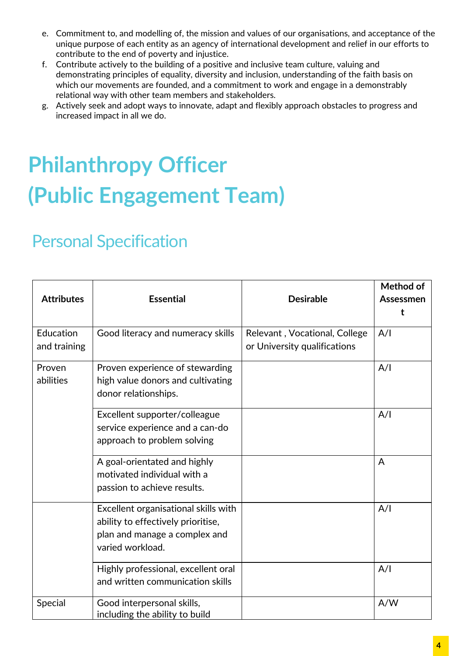- e. Commitment to, and modelling of, the mission and values of our organisations, and acceptance of the unique purpose of each entity as an agency of international development and relief in our efforts to contribute to the end of poverty and injustice.
- f. Contribute actively to the building of a positive and inclusive team culture, valuing and demonstrating principles of equality, diversity and inclusion, understanding of the faith basis on which our movements are founded, and a commitment to work and engage in a demonstrably relational way with other team members and stakeholders.
- g. Actively seek and adopt ways to innovate, adapt and flexibly approach obstacles to progress and increased impact in all we do.

# **Philanthropy Officer (Public Engagement Team)**

### Personal Specification

| <b>Attributes</b>         | <b>Essential</b>                                                                                                                | <b>Desirable</b>                                              | Method of<br>Assessmen<br>t |
|---------------------------|---------------------------------------------------------------------------------------------------------------------------------|---------------------------------------------------------------|-----------------------------|
| Education<br>and training | Good literacy and numeracy skills                                                                                               | Relevant, Vocational, College<br>or University qualifications | A/I                         |
| Proven<br>abilities       | Proven experience of stewarding<br>high value donors and cultivating<br>donor relationships.                                    |                                                               | A/I                         |
|                           | Excellent supporter/colleague<br>service experience and a can-do<br>approach to problem solving                                 |                                                               | A/I                         |
|                           | A goal-orientated and highly<br>motivated individual with a<br>passion to achieve results.                                      |                                                               | A                           |
|                           | Excellent organisational skills with<br>ability to effectively prioritise,<br>plan and manage a complex and<br>varied workload. |                                                               | A/I                         |
|                           | Highly professional, excellent oral<br>and written communication skills                                                         |                                                               | A/I                         |
| Special                   | Good interpersonal skills,<br>including the ability to build                                                                    |                                                               | A/W                         |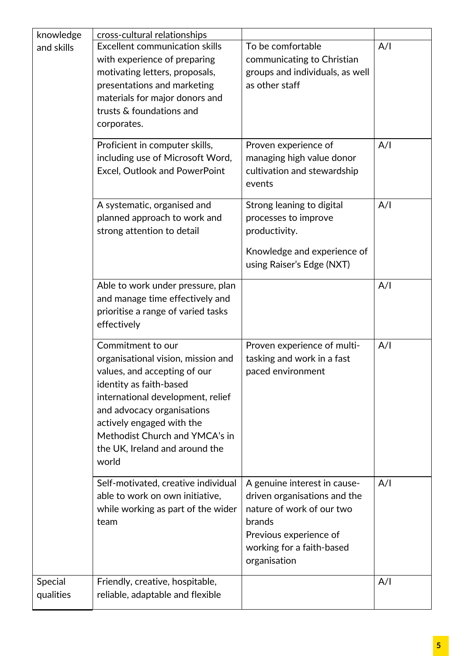| knowledge            | cross-cultural relationships                                                                                                                                                                                                                                                                    |                                                                                                                                                                            |     |
|----------------------|-------------------------------------------------------------------------------------------------------------------------------------------------------------------------------------------------------------------------------------------------------------------------------------------------|----------------------------------------------------------------------------------------------------------------------------------------------------------------------------|-----|
| and skills           | <b>Excellent communication skills</b><br>with experience of preparing<br>motivating letters, proposals,<br>presentations and marketing<br>materials for major donors and<br>trusts & foundations and<br>corporates.                                                                             | To be comfortable<br>communicating to Christian<br>groups and individuals, as well<br>as other staff                                                                       | A/I |
|                      | Proficient in computer skills,<br>including use of Microsoft Word,<br>Excel, Outlook and PowerPoint                                                                                                                                                                                             | Proven experience of<br>managing high value donor<br>cultivation and stewardship<br>events                                                                                 | A/I |
|                      | A systematic, organised and<br>planned approach to work and<br>strong attention to detail                                                                                                                                                                                                       | Strong leaning to digital<br>processes to improve<br>productivity.<br>Knowledge and experience of<br>using Raiser's Edge (NXT)                                             | A/I |
|                      | Able to work under pressure, plan<br>and manage time effectively and<br>prioritise a range of varied tasks<br>effectively                                                                                                                                                                       |                                                                                                                                                                            | A/I |
|                      | Commitment to our<br>organisational vision, mission and<br>values, and accepting of our<br>identity as faith-based<br>international development, relief<br>and advocacy organisations<br>actively engaged with the<br>Methodist Church and YMCA's in<br>the UK, Ireland and around the<br>world | Proven experience of multi-<br>tasking and work in a fast<br>paced environment                                                                                             | A/I |
|                      | Self-motivated, creative individual<br>able to work on own initiative,<br>while working as part of the wider<br>team                                                                                                                                                                            | A genuine interest in cause-<br>driven organisations and the<br>nature of work of our two<br>brands<br>Previous experience of<br>working for a faith-based<br>organisation | A/I |
| Special<br>qualities | Friendly, creative, hospitable,<br>reliable, adaptable and flexible                                                                                                                                                                                                                             |                                                                                                                                                                            | A/I |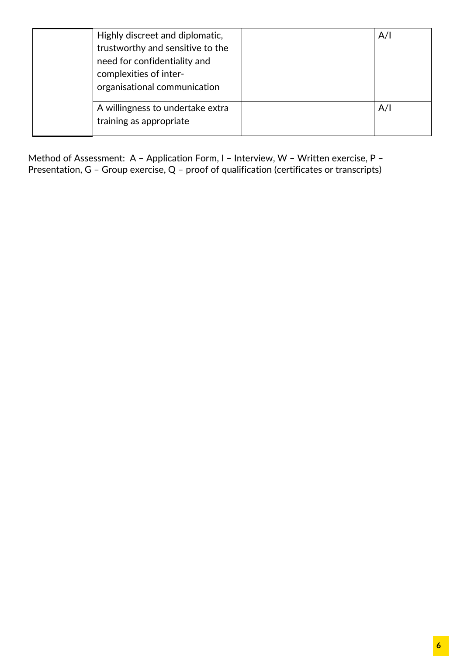| Highly discreet and diplomatic,<br>trustworthy and sensitive to the<br>need for confidentiality and<br>complexities of inter-<br>organisational communication | A/I |
|---------------------------------------------------------------------------------------------------------------------------------------------------------------|-----|
| A willingness to undertake extra<br>training as appropriate                                                                                                   | A/I |

Method of Assessment: A – Application Form, I – Interview, W – Written exercise, P – Presentation, G – Group exercise, Q – proof of qualification (certificates or transcripts)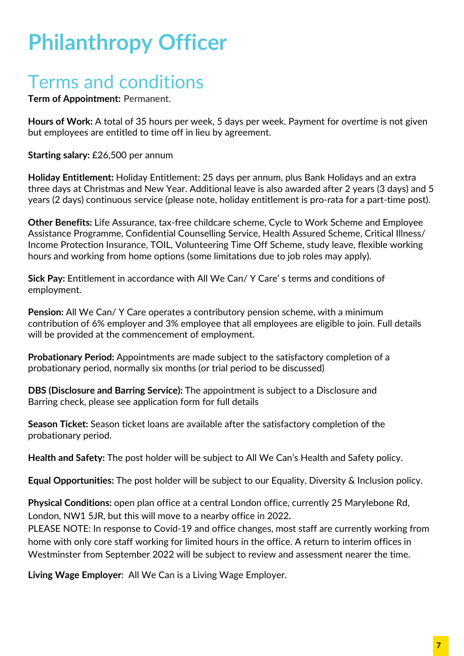## **Philanthropy Officer**

### Terms and conditions

**Term of Appointment:** Permanent.

**Hours of Work:** A total of 35 hours per week, 5 days per week. Payment for overtime is not given but employees are entitled to time off in lieu by agreement.

**Starting salary:** £26,500 per annum

**Holiday Entitlement:** Holiday Entitlement: 25 days per annum, plus Bank Holidays and an extra three days at Christmas and New Year. Additional leave is also awarded after 2 years (3 days) and 5 years (2 days) continuous service (please note, holiday entitlement is pro-rata for a part-time post).

**Other Benefits:** Life Assurance, tax-free childcare scheme, Cycle to Work Scheme and Employee Assistance Programme, Confidential Counselling Service, Health Assured Scheme, Critical Illness/ Income Protection Insurance, TOIL, Volunteering Time Off Scheme, study leave, flexible working hours and working from home options (some limitations due to job roles may apply).

**Sick Pay:** Entitlement in accordance with All We Can/ Y Care' s terms and conditions of employment.

**Pension:** All We Can/ Y Care operates a contributory pension scheme, with a minimum contribution of 6% employer and 3% employee that all employees are eligible to join. Full details will be provided at the commencement of employment.

**Probationary Period:** Appointments are made subject to the satisfactory completion of a probationary period, normally six months (or trial period to be discussed)

**DBS (Disclosure and Barring Service):** The appointment is subject to a Disclosure and Barring check, please see application form for full details

**Season Ticket:** Season ticket loans are available after the satisfactory completion of the probationary period.

**Health and Safety:** The post holder will be subject to All We Can's Health and Safety policy.

**Equal Opportunities:** The post holder will be subject to our Equality, Diversity & Inclusion policy.

**Physical Conditions:** open plan office at a central London office, currently 25 Marylebone Rd, London, NW1 5JR, but this will move to a nearby office in 2022**.** 

PLEASE NOTE: In response to Covid-19 and office changes, most staff are currently working from home with only core staff working for limited hours in the office. A return to interim offices in Westminster from September 2022 will be subject to review and assessment nearer the time**.** 

**Living Wage Employer**: All We Can is a Living Wage Employer.